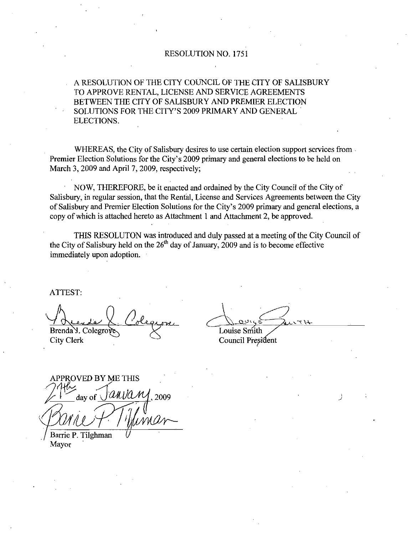# RESOLUTION NO. 1751

ARESOLUTION OF THE CITY COUNCIL OF THE CITY OF SALISBURY A RESOLUTION OF THE CITY COONCIL OF THE CITY OF SALE<br>TO APPROVE RENTAL, LICENSE AND SERVICE AGREEMENTS<br>BETWEEN THE CITY OF SALISBURY AND PREMIER ELECTION<br>SOLUTIONS FOR THE CITY'S 2009 PRIMARY AND GENERAL<br>FLECTIONS BETWEEN THE CITY OF SALISBURY AND PREMIER ELECTION ELECTIONS

WHEREAS, the City of Salisbury desires to use certain election support services from Premier Election Solutions for the City's 2009 primary and general elections to be held on March 3, 2009 and April 7, 2009, respectively;

NOW, THEREFORE, be it enacted and ordained by the City Council of the City of Salisbury, in regular session, that the Rental, License and Services Agreements between the City of Salisbury and Premier Election Solutions for the City's 2009 primary and general elections, a copy of which is attached hereto as Attachment 1 and Attachment 2, be approved.

THIS RESOLUTON was introduced and duly passed at a meeting of the City Council of the City of Salisbury held on the  $26<sup>th</sup>$  day of January, 2009 and is to become effective immediately upon adoption

ATTEST

 $Brenda$  Colegrove  $X$  Louise Smith City Clerk Council President

APPROVED BY ME THIS PROVED BY ME THIS<br> $\frac{1}{10}$  day of  $\frac{\sqrt{a}u\sqrt{a}M}{\sqrt{a}}$ , 2009 Barrie P. Tilghman

Mayor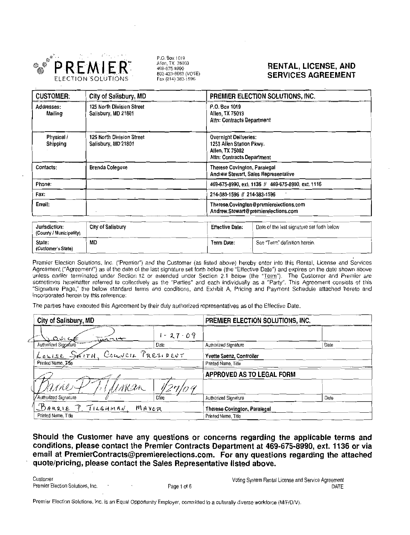

P.O. Box 1019 Allen, TX 75003<br>469-675-8990 800-433-8683 (VOTE)<br>Fax (214) 383-1596

# RENTAL, LICENSE, AND SERVICES AGREEMENT

| <b>CUSTOMER:</b>                         | City of Salisbury, MD                            |                                                                                                    | PREMIER ELECTION SOLUTIONS, INC.                                            |  |  |
|------------------------------------------|--------------------------------------------------|----------------------------------------------------------------------------------------------------|-----------------------------------------------------------------------------|--|--|
| Addresses:<br>Mailing                    | 125 North Division Street<br>Salisbury, MD 21801 | P.O. Box 1019<br>Allen, TX 75013<br>Attn: Contracts Department                                     |                                                                             |  |  |
| Physical /<br>Shipping                   | 125 North Division Street<br>Salisbury, MD 21801 | Overnight Deliveries:<br>1253 Allen Station Pkwy.<br>Allen, TX 75002<br>Attn: Contracts Department |                                                                             |  |  |
| Contacts:                                | <b>Brenda Colegove</b>                           |                                                                                                    | <b>Therese Covington, Paralegal</b><br>Andrew Stewart, Sales Representative |  |  |
| Phone:                                   |                                                  | 469-675-8990, ext. 1136 // 469-675-8990, ext. 1116                                                 |                                                                             |  |  |
| Fax:                                     |                                                  | 214-383-1596 // 214-383-1596                                                                       |                                                                             |  |  |
| Email:                                   |                                                  | Therese.Covington@premierelections.com<br>Andrew.Stewart@premierelections.com                      |                                                                             |  |  |
| Jurisdiction:<br>(County / Municipality) | <b>City of Salisbury</b>                         | <b>Effective Date:</b>                                                                             | Date of the last signature set forth below                                  |  |  |
| State:<br>(Customer's State)             | MD                                               | <b>Term Date:</b>                                                                                  | See 'Term" definition herein.                                               |  |  |

| (County / Municipality)      |                                                           |                                                                                                             |                                                 |                      |                                                                                                                                                                                                                                                                                                                                                                                                                                                                                                                                                                                                                                                                                  |      |  |
|------------------------------|-----------------------------------------------------------|-------------------------------------------------------------------------------------------------------------|-------------------------------------------------|----------------------|----------------------------------------------------------------------------------------------------------------------------------------------------------------------------------------------------------------------------------------------------------------------------------------------------------------------------------------------------------------------------------------------------------------------------------------------------------------------------------------------------------------------------------------------------------------------------------------------------------------------------------------------------------------------------------|------|--|
| State:<br>(Customer's State) |                                                           | MD                                                                                                          |                                                 | <b>Term Date:</b>    | See "Term" definition herein.                                                                                                                                                                                                                                                                                                                                                                                                                                                                                                                                                                                                                                                    |      |  |
|                              |                                                           | incorporated herein by this reference:                                                                      |                                                 |                      | Premier Election Solutions, Inc. ("Premier") and the Customer (as listed above) hereby enter into this Rental, License and Services<br>Agreement ("Agreement") as of the date of the last signature set forth below (the "Effective Date") and expires on the date shown above<br>unless earlier terminated under Section 12 or extended under Section 2.1 below (the "Term"). The Customer and Premier are<br>sometimes hereinafter referred to collectively as the "Parties" and each individually as a "Party". This Agreement consists of this<br>"Signature Page," the below standard terms and conditions, and Exhibit A, Pricing and Payment Schedule attached hereto and |      |  |
|                              |                                                           | The parties have executed this Agreement by their duly authorized representatives as of the Effective Date. |                                                 |                      |                                                                                                                                                                                                                                                                                                                                                                                                                                                                                                                                                                                                                                                                                  |      |  |
|                              | City of Salisbury, MD                                     |                                                                                                             | PREMIER ELECTION SOLUTIONS, INC.                |                      |                                                                                                                                                                                                                                                                                                                                                                                                                                                                                                                                                                                                                                                                                  |      |  |
| 0.966                        |                                                           | $+17.7$                                                                                                     | $1 - 27 - 09$                                   |                      |                                                                                                                                                                                                                                                                                                                                                                                                                                                                                                                                                                                                                                                                                  |      |  |
| Authorized Signature         |                                                           |                                                                                                             | Date                                            | Authorized Signature |                                                                                                                                                                                                                                                                                                                                                                                                                                                                                                                                                                                                                                                                                  | Date |  |
|                              | COUNCIL PRESIDENT<br>Louise SMITH.<br>Printed Name, Tille |                                                                                                             | Yvette Saenz, Controller<br>Printed Name, Title |                      |                                                                                                                                                                                                                                                                                                                                                                                                                                                                                                                                                                                                                                                                                  |      |  |
|                              |                                                           | APPROVED AS TO LEGAL FORM                                                                                   |                                                 |                      |                                                                                                                                                                                                                                                                                                                                                                                                                                                                                                                                                                                                                                                                                  |      |  |
| イハのノ                         |                                                           | VK XA                                                                                                       |                                                 |                      |                                                                                                                                                                                                                                                                                                                                                                                                                                                                                                                                                                                                                                                                                  |      |  |
| Authorized Signature         |                                                           |                                                                                                             | Date                                            | Authorized Signature |                                                                                                                                                                                                                                                                                                                                                                                                                                                                                                                                                                                                                                                                                  | Date |  |
|                              | BARRIE<br>P. TILGHMAN.<br>MAYOR                           |                                                                                                             | <b>Therese Covington, Paralegal</b>             |                      |                                                                                                                                                                                                                                                                                                                                                                                                                                                                                                                                                                                                                                                                                  |      |  |
| Printed Name, Title          |                                                           |                                                                                                             |                                                 | Printed Name, Title  |                                                                                                                                                                                                                                                                                                                                                                                                                                                                                                                                                                                                                                                                                  |      |  |

Should the Customer have any questions or concerns regarding the applicable terms and conditions, please contact the Premier Contracts Department at 469-675-8990, ext. 1136 or via email at PremierContracts@premierelections email at PremierContracts@premierelections.com. For any questions regarding the attached

Premier Election Solutions Inc Voting System Rental License and Service Agreement Page <sup>1</sup> of <sup>6</sup> DATE Voting System Rental License an<br>a culturally diverse workforce (M/F/D/V)

Premier Election Solutions Inc is an Equal Opponunity Employer committed to <sup>a</sup>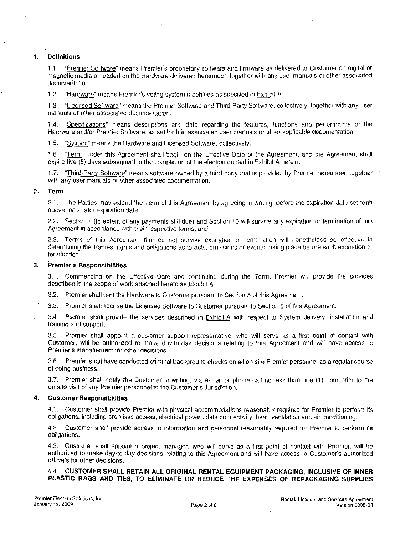### Definitions  $1.$

**1. "Premier Software"** means Premier's proprietary software and firmware as delivered to Customer on digital or<br>The magnetic media or loaded on the Hardware delivered hereunder, together with any user manuals or other ass magnetic media or loaded on the Hardware delivered hereunder, together with any user manuals or other associated<br>documentation. **12 Hardware Meantain Schware means Premier's proprietary software and firmware as delivered means of the Hardware delivered hereunder, together with any using system machines as specified in Exhibit A.**<br>12 Hardware" means

1.2. "Hardware" means Premier's voting system machines as specified in Exhibit A.<br>1.3. "Licensed Software" means the Premier Software and Third-Party Software, collectively, together with any user manuals or other associated documentation

1.4. "Specifications" means descriptions and data regarding the features, functions and performance of the Hardware and/or Premier Software, as set forth in associated user manuals or other applicable documentation.<br>1.5. "System" means the Hardware and Licensed Software, collectively.

1.6. "Term" under this Agreement shall begin on the Effective Date of the Agreement, and the Agreement shall expire five (5) days subsequent to the completion of the election quoted in Exhibit A herein.

1.7. "Third-Party Software" means software owned by a third party that is provided by Premier hereunder, together with any user manuals or other associated documentation.<br>2. Term.

2.1. The Parties may extend the Term of this Agreement by agreeing in writing, before the expiration date set forth above on a later expiration date:

2.2. Section 7 (to extent of any payments still due) and Section 10 will survive any expiration or termination of this Agreement in accordance with their respective terms: and

2.3. Terms of this Agreement that do not survive expiration or termination will nonetheless be effective in determining the Parties rights and obligations as to acts, omissions or events taking place before such expiration or termination. 2.2. Section 7 (to extent of<br>Agreement in accordance w<br>2.3. Terms of this Agree<br>determining the Parties' rightermination.<br>3. **Premier's Responsibilities** 

**Premier's Responsibilities**<br>3.1. Commencing on the Effective Date and continuing during the Term, Premier will provide the services described in the scope of work attached hereto as Exhibit A.

3.2. Premier shall rent the Hardware to Customer pursuant to Section 5 of this Agreement.

3.3. Premier shall license the Licensed Software to Customer pursuant to Section 6 of this Agreement.

3.4. Premier shall provide the services described in **Exhibit A** with respect to System delivery, installation and training and support.

3.5. Premier shall appoint a customer support representative, who will serve as a first point of contact with<br>Customer, will be authorized to make day-to-day decisions relating to this Agreement and will have access to<br>Pre Premier shall appoint a customer support representative, who will serve as a first point of contact with<br>premier, will be authorized to make day-to-day decisions relating to this Agreement and will have access to<br>ier's man

3.6. Premier shall have conducted criminal background checks on all on-site Premier personnel as a regular course of doing business.

3.7. Premier shall notify the Customer in writing, via e-mail or phone call no less than one (1) hour prior to the on-site visit of any Premier personnel to the Customer's Jurisdiction.

# 4. Customer Responsibilities

4.1. Customer shall provide Premier with physical accommodations reasonably required for Premier to perform its obligations, including premises access, electrical power, data connectivity, heat, ventilation and air conditi

4.1. Customer responsibilities<br>
4.1. Customer shall provide Premier with physical accommodations reasonably required for Premier to perform it:<br>
biligations, including premises access, electrical power, data connectivity, authorized to make day-to-day decisions relating to this Agreement and will have access to Customer's authorized<br>officials for other decisions.

# 4.4. **C** CUSTOMER SHALL RETAIN ALL ORIGINAL RENTAL EQUIPMENT PACKAGING, INCLUSIVE OF INNEI<br>STIC BAGS AND TIES, TO ELIMINATE OR REDUCE THE EXPENSES OF REPACKAGING SUPPLIES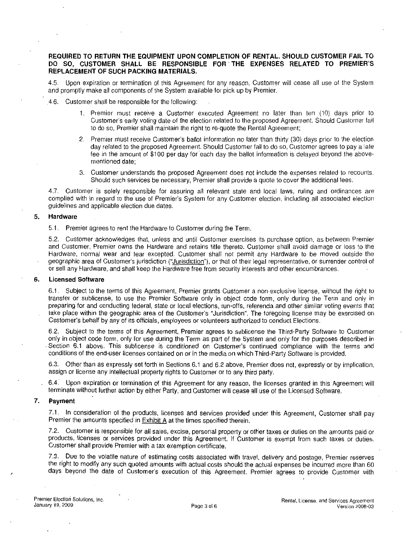# REQUIRED TO RETURN THE EQUIPMENT UPON COMPLETION OF RENTAL SHOULD CUSTOMER FAIL TO REPLACEMENT OF SUCH PACKING MATERIALS DO SO CUSTOMER SHALL BE ENT UPON COMPLETION OF RENTAL. SHOULD CUSTOMER FAIL TO<br>RESPONSIBLE FOR THE EXPENSES RELATED TO PREMIER'S<br>ATERIALS.

4.5. Upon expiration or termination of this Agreement for any reason. Customer will cease all use of the System and promptly make all components of the System available for pick up by Premier.<br>4.6. Customer shall be responsible for the following:

- 1. Premier must receive a Customer executed Agreement no later than ten (10) days prior to T OF SUCH PACKING MATERIALS.<br>
FIGURE STACKING MATERIALS.<br>
Stration or termination of this Agreement for any reason, Customer will cease all use of the System<br>
ake all components of the System available for pick up by Premi Customer's early voting date of the election related to the proposed Agreement. Should Customer fail<br>to do so, Premier shall maintain the right to re-quote the Rental Agreement;<br>Premier must receive Customer's ballot infor 22 Premier must receive Customer's ballot information no later than ten (10) days prior to Customer's early voting date of the election related to the proposed Agreement. Should Customer is early voting date of the electio
- day related to the proposed Agreement. Should Customer fail to do so. Customer agrees to pay a late fee in the amount of \$100 per day for each day the ballot information is delayed beyond the abovementioned date
- 3 Customer understands the proposed Agreement does not include the expenses related to recounts Should such services be necessary. Premier shall provide a quote to cover the additional fees.

47 Customer is solely responsible for assuring all relevant state and local laws ruling and ordinances are complied with in regard to the use of Premier's System for any Customer election, including all associated election guidelines and applicable election due dates

# 5. Hardware

5.1. Premier agrees to rent the Hardware to Customer during the Term.

5.2. Customer acknowledges that, unless and until Customer exercises its purchase option, as between Premier and Customer. Premier owns the Hardware and retains title thereto. Customer shall avoid damage or loss to the Hardware, normal wear and tear excepted. Customer shall not permit any Hardware to be moved outside the geographic area of Customer's jurisdiction ("Jurisdiction"), or that of their legal representative, or surrender contr But are a controlled that the Hardware to Customer during the Term.<br>
5.2. Customer acknowledges that, unless and until Customer exercises its purchase option, as between Premier<br>
and Customer, Premier owns the Hardware and or sell any Hardware, and shall keep the Hardware free from security interests and other encumbrances.

# 6. Licensed Software

6.1. Subject to the terms of this Agreement. Premier grants Customer a non-exclusive license, without the right to transfer or sublicense, to use the Premier Software only in object code form, only during the Term and only in preparing for and conducting federal, state or local elections, run-offs, referenda and other similar voting events that take place within the geographic area of the Customer's "Jurisdiction". The foregoing license may be decoraphic area of Customer's jurisdiction ("<u>Jurisdiction</u>"), or that of their legal representative, or surrender control of or sell any Hardware, and shall keep the Hardware free from security interests and other encumbr or sell any Hardware, and shall keep the Hardware free from security interests and other encumbi<br>
Licensed Software<br>
6.1. Subject to the terms of this Agreement, Premier grants Customer a non-exclusive license,<br>
transfer o 62 Gustomer's behalf by any of its officials, employees or volunteers authorized to conduct Elections.<br>62. Subject to the terms of this Agreement, Premier agrees to sublicense the Third-Party Software to Customer Section 6.1 above. This sublicense is conditioned on Customer's continued compliance with the terms of the end only in Section 2.1 above The terms and only in the peographic area of the Customer's "Jurisdiction". The foreg

only in object code form, only for use during the Term as part of the System and only for the purposes described in<br>Section 6.1 above. This sublicense is conditioned on Customer's continued compliance with the terms and conditions of the end-user licenses contained on or in the media on which Third-Party Software is provided.

6.3. Other than as expressly set forth in Sections 6.1 and 6.2 above, Premier does not, expressly or by implication, assign or license any intellectual property rights to Customer or to any third party.

6.4. Upon expiration or termination of this Agreement for any reason, the licenses granted in this Agreement will terminate without further action by either Party, and Customer will cease all use of the Licensed Software.

## 7. Payment

7.1. In consideration of the products, licenses and services provided under this Agreement, Customer shall pay<br>Premier the amounts specified in Exhibit A at the times specified therein.

7.2. Customer is responsible for all sales, excise, personal property or other taxes or duties on the amounts paid or products, licenses or services provided under this Agreement. If Customer is exempt from such taxes or d

7.3. Due to the volatile nature of estimating costs associated with travel, delivery and postage, Premier reserves<br>the right to modify any such quoted amounts with actual costs should the actual expenses be incurred more t days beyond the date of Customer's execution of this Agreement. Premier agrees to provide Customer with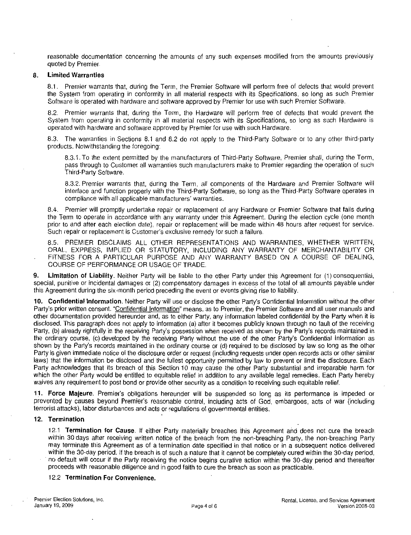reasonable documentation concerning the amounts of any such expenses modified from the amounts previously quoted by Premier

# 8. Limited Warranties

8.1. Premier warrants that, during the Term, the Premier Software will perform free of defects that would prevent the System from operating in conformity in all material respects with its Specifications, so long as such Pr Software is operated with hardware and software approved by Premier for use with such Premier Software.<br>8.2. Premier warrants that, during the Term, the Hardware will perform free of defects that would prevent the

System from operating in conformity in all material respects with its Specifications so long as such Hardware is operated with hardware and software approved by Premier for use with such Hardware

operated with hardware and software approved by Premier for use with such Hardware.<br>8.3. The warranties in Sections 8.1 and 8.2 do not apply to the Third Party Software or to any other third party products. Notwithstanding the foregoing: The warranties in Sections 8.1 and 8.2 do not apply to the Third-Party Software or to any other third-party<br>ts. Notwithstanding the foregoing:<br>B.3.1. To the extent permitted by the manufacturers of Third-Party Software, Pr

pass through to Customer all warranties such manufacturers make to Premier regarding the operation of such Third-Party Software.<br>83.2. Premier warrants that, during the Term, all components of the Hardware and Premier Soft Third-Party Software.

8.3.2. Premier warrants that, during the Term, all components of the Hardware and Premier Software will interface and function properly with the Third-Party Software, so long as the Third-Party Software operates in compliance with all applicable manufacturers' warranties.

8.4. Premier will promptly undertake repair or replacement of any Hardware or Premier Software that fails during the Term to operate in accordance with any warranty under this Agreement. During the election cycle (one month prior to and after each election date), repair or replacement will be made within 48 hours after request for service.<br>Such repair or replacement is Customer's exclusive remedy for such a failure. 8.3.2. Premier warrants that, during the Term, all components of the interface and function properly with the Third-Party Software, so long compliance with all applicable manufacturers' warranties.<br>8.4. Premier will prompt

8.5. PREMIER DISCLAIMS ALL OTHER REPRESENTATIONS AND WARRANTIES, WHETHER WRITTEN, ORAL EXPRESS IMPLIED OR STATUTORY INCLUDING ANY WARRANTY OF MERCHANTABILITY OR FITNESS FOR A PARTICULAR PURPOSE AND ANY WARRANTY BASED ON A COURSE OF DEALING, COURSE OF PERFORMANCE OR USAGE OF TRADE

9. Limitation of Liability. Neither Party will be liable to the other Party under this Agreement for (1) consequential, **9.** Limitation of Liability. Neither Party will be liable to the other Party under this Agreement for (1) consequential, special, punitive or incidental damages or (2) compensatory damages in excess of the total of all am

this Agreement during the six-month period preceding the event or events giving rise to liability.<br>**10. Confidential Information**. Neither Party will use or disclose the other Party's Confidential Information without the o other documentation provided hereunder and, as to either Party, any information labeled confidential by the Party when it is disclosed. This paragraph does not apply to information (a) after it becomes publicly known throu Party's prior written consent. "Confidential Information" means, as to Premier, the Premier Software and all user manuals and<br>other documentation provided hereunder and, as to either Party, any information labeled confiden Party is given immediate notice of the disclosure order or request including requests under open records acts or other similar laws) that the information be disclosed and the fullest opportunity permitted by law to prevent or limit the disclosure. Each Party acknowledges that its breach of this Section 10 may cause the other Party substantial and irreparable harm for which the other Party would be entitled to equitable relief in addition to any available legal remedies. which the other Party would be entitled to equitable relief in addition to any available legal remedies. Each Party hereby waives any requirement to post bond or provide other security as a condition to receiving such equi Party is given immediate notice of the disclosure order or request (including requests under open records acts or other similar laws) that the information be disclosed and the fullest opportunity permitted by law to preven laws) that the information be disclosed and the fullest opportunity permitted by law to prevent or limit the disclosure. Each Party acknowledges that its breach of this Section 10 may cause the other Party substantial and

## 12. Termination

12.1 **Termination for Cause**. If either Party materially breaches this Agreement and does not cure the breach within 30 days after receiving written notice of the breach from the non-breaching Party, the non-breaching Part may terminate this Agreement as of a termination date specified in that notice or in a subsequent notice delivered<br>within the 30-day period. If the breach is of such a nature that it cannot be completely cured within the 3 proceeds with reasonable diligence and in good faith to cure the breach as soon as practicable 12.2 **Termination For Convenience**.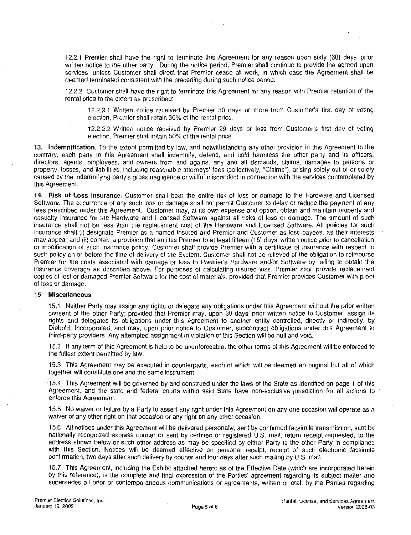2.2.1 Premier shall have the right to terminate this Agreement for any reason upon sixty (60) days' prior<br>vritten notice to the other party. During the notice period, Premier shall continue to provide the agreed upon<br>servi Figure 1222 Customer shall have the right to terminate this Agreement for any reason with Premier retention of the right to terminate this Agreement for any reason with Premier retention of the 2.2.2 Customer shall have th remier shall have the right to terminate this Agreement for any reason upon sixty (60) days' prior otice to the other party. During the notice period, Premier shall continue to provide the agreed upon unless Customer shall

12.2.2 Customer shall have the right to terminate this Agreement for any reason with Premier retention of the rental price to the extent as prescribed: 122.2.2.1 Written notice received by Premier 30 days or more from Customer's first day of voting CPL 2.2.2.1 Written notice received by Premier 30 days or more from Customer's first day of voting election, Premier shall re

13. Indemnification. To the extent permitted by law, and notwithstanding any other provision in this Agreement to the contrary, each party to this Agreement shall indemnify, defend, and hold harmless the other party and its officers, directors, agents, employees, and owners from and against any and all demands, claims, damages to persons or<br>property, losses, and liabilities, including reasonable attorneys' fees (collectively, "Claims"), arising solely caused by the indemnifying party's gross negligence or willful misconduct in connection with the services contemplated by<br>this Agreement.

14. Risk of Loss Insurance. Customer shall bear the entire risk of loss or damage to the Hardware and Licensed Software. The occurrence of any such loss or damage shall not permit Customer to delay or reduce the payment of any<br>fees prescribed under this Agreement. Customer may, at its own expense and option, obtain and maintain pro fees prescribed under this Agreement. Customer may, at its own expense and option, obtain and maintain property and casualty insurance for the Hardware and Licensed Software against all risks of loss or damage. The amount insurance shall (i) designate Premier as a named insured and Premier and Customer as loss payees, as their interests may appear and (ii) contain a provision that entitles Premier to at least fifteen (15) days' written noti

# 15. Miscellaneous

<sup>15</sup> Neither Party may assign any rights or delegate any obligations under this Agreement without the prior written consent of the other Party provided that Premier may upon <sup>30</sup> days prior written notice to Customer assign its rights and delegates its obligations under this Agreement to another entity controlled, directly or indirectly, by Diebold, Incorporated, and may, upon prior notice to Customer, subcontract obligations under this Agreement Diebold, Incorporated, and may, upon prior notice to Customer, subcontract obligations under this Agreement to

15.2 If any term of this Agreement is held to be unenforceable, the other terms of this Agreement will be enforced to the fullest extent permitted by law. 15.2 If any term of this Agreement is held to be unenforceable, the other terms of this Agreement will be enforced to<br>the fullest extent permitted by law.<br>15.3 This Agreement may be executed in counterparts, each of which

together will constitute one and the same instrument

15.3 This Agreement may be executed in counterparts, each of which will be deemed an original but all of which<br>together will constitute one and the same instrument.<br>15.4 This Agreement will be governed by and construed und Agreement, and the state and federal courts within said State have non-exclusive jurisdiction for all actions to enforce this Agreement.<br>15.5 No waiver or failure by a Party to assert any right under this Agreement on any

waiver of any other right on that occasion or any right on any other occasion.

15.6 All notices under this Agreement will be delivered personally, sent by confirmed facsimile transmission, sent by nationally recognized express courier or sent by certified or registered U.S. mail, return receipt reque with this Section. Notices will be deemed effective on personal receipt, receipt of such electronic facsimile<br>confirmation, two days after such delivery by courier and four days after such mailing by U.S. mail.

15.7 This Agreement, including the Exhibit attached hereto as of the Effective Date (which are incorporated herein<br>by this reference), is the complete and final expression of the Parties' agreement regarding its subject ma supersedes all prior or contemporaneous communications or agreements, written or oral, by the Parties regarding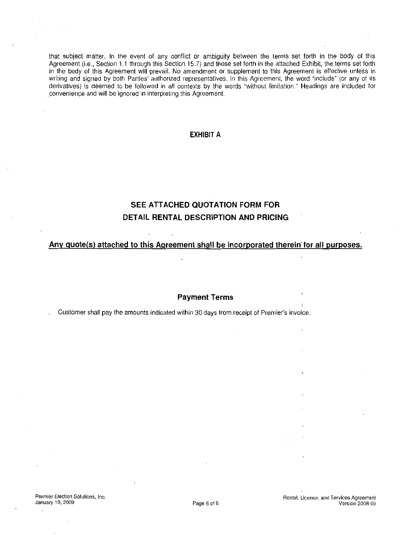that subject matter. In the event of any conflict or ambiguity between the terms set forth in the body of this<br>Agreement (i.e., Section 1.1 through this Section 15.7) and those set forth in the attached Exhibit, the terms that subject matter. In the event of any conflict or ambiguity between the terms set forth in the body of this Agreement (i.e., Section 1.1 through this Section 15.7) and those set forth in the attached Exhibit, the terms in the body of this Agreement will prevail. No amendment or supplement to this Agreement is effective unless in writing and signed by both Parties' authorized representatives. In this Agreement, the word "include" (or any of its derivatives) is deemed to be followed in all contexts by the words "without limitation." Headings are included for convenience and will be ignored in interpreting this Agreement

# EXHIBIT A

# SEE ATTACHED QUOTATION FORM FOR DETAIL RENTAL DESCRIPTION AND PRICING

# Any quote(s) attached to this Agreement shall be incorporated therein for all purposes.

# Payment Terms

Customer shall pay the amounts indicated within 30 days from receipt of Premier's invoice.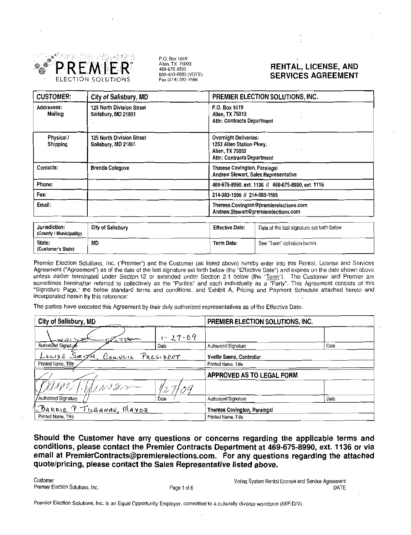

P.O. Box 1019<br>Allen, TX 75003<br>469-675-8990<br>B00-433-8683 (VOTE)<br>Fax (214) 383-1596

# RENTAL, LICENSE, AND SERVICES AGREEMENT

| <b>CUSTOMER:</b>              | City of Salisbury, MD                            | PREMIER ELECTION SOLUTIONS, INC.                                                                                                                                                                                                             |  |  |
|-------------------------------|--------------------------------------------------|----------------------------------------------------------------------------------------------------------------------------------------------------------------------------------------------------------------------------------------------|--|--|
| Addresses:<br>Mailing         | 125 North Division Street<br>Salisbury, MD 21801 | P.O. Box 1019<br>Allen, TX 75013<br>Attn: Contracts Department                                                                                                                                                                               |  |  |
| Physical /<br>Shipping        | 125 North Division Street<br>Salisbury, MD 21801 | <b>Overnight Deliveries:</b><br>1253 Allen Station Pkwy.<br>Allen, TX 75002<br>Attn: Contracts Department                                                                                                                                    |  |  |
| Contacts:                     | <b>Brenda Colegove</b>                           | Therese Covington, Paralegal<br>Andrew Stewart, Sales Representative                                                                                                                                                                         |  |  |
| Phone:                        |                                                  | 469-675-8990, ext. 1136 // 469-675-8990, ext. 1116                                                                                                                                                                                           |  |  |
| Fax:                          |                                                  | 214-383-1596 // 214-383-1596                                                                                                                                                                                                                 |  |  |
| Email:                        |                                                  | Therese.Covington@premierelections.com<br>Andrew.Stewart@premierelections.com                                                                                                                                                                |  |  |
| $1.1.11 \pm 1.1.11 \pm 1.1.1$ | $\mathbf{a}$                                     | <b>Profit Address to the Contract of the Contract of the Contract of the Contract of the Contract of the Contract of the Contract of the Contract of the Contract of the Contract of the Contract of the Contract of the Contrac</b><br>---- |  |  |

|                                          |                   |                        | Andrew.Stewart@premierelections.com                                                                                  |
|------------------------------------------|-------------------|------------------------|----------------------------------------------------------------------------------------------------------------------|
| Jurisdiction:<br>(County / Municipality) | City of Salisbury | <b>Effective Date:</b> | Date of the last signature set forth below                                                                           |
| State:<br>(Customer's State)             | MD                | Term Date:             | See "Term" definition herein.                                                                                        |
|                                          |                   |                        | <u>n de la provincia de la mondo de la contrada de la contrada de la contrada de la contrada de la contrada de l</u> |

|                                          |                                                                                                             |                                  | Therese.covington @ premiere.com<br>Andrew.Stewart@premierelections.com |                                                                                                                                                                                                                                                                                                                                                                                                                                                                                                                                                                                                                                                                                  |      |
|------------------------------------------|-------------------------------------------------------------------------------------------------------------|----------------------------------|-------------------------------------------------------------------------|----------------------------------------------------------------------------------------------------------------------------------------------------------------------------------------------------------------------------------------------------------------------------------------------------------------------------------------------------------------------------------------------------------------------------------------------------------------------------------------------------------------------------------------------------------------------------------------------------------------------------------------------------------------------------------|------|
| Jurisdiction:<br>(County / Municipality) | City of Salisbury                                                                                           |                                  | <b>Effective Date:</b>                                                  | Date of the last signature set forth below                                                                                                                                                                                                                                                                                                                                                                                                                                                                                                                                                                                                                                       |      |
| State:<br>(Customer's State)             | MD                                                                                                          |                                  | Term Date:                                                              | See "Term" definition herein.                                                                                                                                                                                                                                                                                                                                                                                                                                                                                                                                                                                                                                                    |      |
| incorporated herein by this reference:   | The parties have executed this Agreement by their duly authorized representatives as of the Effective Date. |                                  |                                                                         | Premier Election Solutions, Inc. ("Premier") and the Customer (as listed above) hereby enter into this Rental, License and Services<br>Agreement ("Agreement") as of the date of the last signature set forth below (the "Effective Date") and expires on the date shown above<br>unless earlier terminated under Section 12 or extended under Section 2.1 below (the "Term"). The Customer and Premier are<br>sometimes hereinafter referred to collectively as the "Parties" and each individually as a "Party". This Agreement consists of this<br>"Signature Page," the below standard terms and conditions, and Exhibit A, Pricing and Payment Schedule attached hereto and |      |
| City of Salisbury, MD                    |                                                                                                             | PREMIER ELECTION SOLUTIONS, INC. |                                                                         |                                                                                                                                                                                                                                                                                                                                                                                                                                                                                                                                                                                                                                                                                  |      |
| ، ت ت                                    | へい                                                                                                          | $1 - 27 - 69$                    |                                                                         |                                                                                                                                                                                                                                                                                                                                                                                                                                                                                                                                                                                                                                                                                  |      |
| Authorized Signatur                      |                                                                                                             | Date                             | Authorized Signature                                                    |                                                                                                                                                                                                                                                                                                                                                                                                                                                                                                                                                                                                                                                                                  | Date |
| PRESIDENT<br>Louise $Sm$ irA<br>Couveir  |                                                                                                             | Yvette Saenz, Controller         |                                                                         |                                                                                                                                                                                                                                                                                                                                                                                                                                                                                                                                                                                                                                                                                  |      |
| Printed Name, Title                      |                                                                                                             | Printed Name, Title              |                                                                         |                                                                                                                                                                                                                                                                                                                                                                                                                                                                                                                                                                                                                                                                                  |      |
|                                          |                                                                                                             | <b>APPROVED AS TO LEGAL FORM</b> |                                                                         |                                                                                                                                                                                                                                                                                                                                                                                                                                                                                                                                                                                                                                                                                  |      |
| NA 9 )                                   | ハバクテー                                                                                                       |                                  |                                                                         |                                                                                                                                                                                                                                                                                                                                                                                                                                                                                                                                                                                                                                                                                  |      |
| Authorized Signature                     |                                                                                                             | Date                             | Authorized Signature                                                    |                                                                                                                                                                                                                                                                                                                                                                                                                                                                                                                                                                                                                                                                                  | Date |
| <u> BARRIE P TILGHMAN, MAVOR</u>         |                                                                                                             | Therese Covington, Paralegal     |                                                                         |                                                                                                                                                                                                                                                                                                                                                                                                                                                                                                                                                                                                                                                                                  |      |
| Printed Name, Title                      |                                                                                                             | Printed Name, Title              |                                                                         |                                                                                                                                                                                                                                                                                                                                                                                                                                                                                                                                                                                                                                                                                  |      |

Should the Customer have any questions or concerns regarding the applicable terms and<br>conditions, please contact the Premier Contracts Department at 469-675-8990, ext. 1136 or via<br>email at PremierContracts@premierelections Email at PremierContracts @premierelections.com. For any questions regarding the attached quote/pricing, please contact the Sales Representative listed above. conditions, please contact the Premier Contracts Department at 469-675-8990, ext. 1136 or via<br>email at PremierContracts@premierelections.com. For any questions regarding the attached<br>quote/pricing, please contact the Sales

Customer<br>Premier Election Solutions, Inc. The Customer Premier Election Solutions, Inc. Customer Premier Election Solutions, Inc. Voting System Rental License and<br>culturally diverse workforce (M/F/D/V).

Premier Election Solutions, Inc. is an Equal Opportunity Employer, committed to a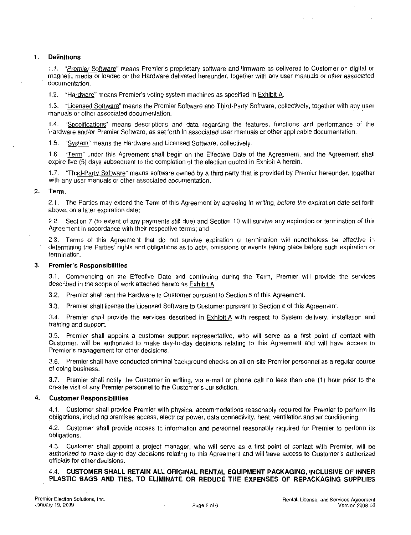# 1 Definitions

)<br>1.1. "<u>Premier Software</u>" means Premier's proprietary software and firmware as delivered to Customer on digital or<br>magnetic media or loaded on the Hardware delivered hereunder, together with any user manuals or other ass documentation 1.1. "Premier Software" means Premier's proprietary software and firmware as delivered to Customer on digital or magnetic media or loaded on the Hardware delivered hereunder, together with any user manuals or other associa

1.3. "Licensed Software" means the Premier Software and Third Party Software, collectively, together with any user manuals or other associated documentation

manuals or other associated documentation.<br>1.4. "Specifications" means descriptions and data regarding the features, functions and performance of the 1.4. "<u>Specifications</u>" means descriptions and data regarding the features, functions and performance o<br>Hardware and/or Premier Software, as set forth in associated user manuals or other applicable documentation. Hardware and/or Premier Software, as set forth in associated user manuals or other applicable documentation.<br>1.5. "System" means the Hardware and Licensed Software, collectively.

1.6. "Term" under this Agreement shall begin on the Effective Date of the Agreement, and the Agreement shall expire five (5) days subsequent to the completion of the election quoted in Exhibit A herein.

1.7. "Third-Party Software" means software owned by a third party that is provided by Premier hereunder, together with any user manuals or other associated documentation.

# 2. Term.

2.1. The Parties may extend the Term of this Agreement by agreeing in writing, before the expiration date set forth above, on a later expiration date:

2.2. Section 7 (to extent of any payments still due) and Section 10 will survive any expiration or termination of this Agreement in accordance with their respective terms: and

2.3. Terms of this Agreement that do not survive expiration or termination will nonetheless be effective in determining the Parties' rights and obligations as to acts, omissions or events taking place before such expiration or termination 2.2. Section 7 (to extent of<br>Agreement in accordance w<br>2.3. Terms of this Agree<br>determining the Parties' rightermination.<br>3. **Premier's Responsibilities**<br>3.1. Commencing on the

**Premier's Responsibilities**<br>3.1. Commencing on the Effective Date and continuing during the Term, Premier will provide the services described in the scope of work attached hereto as Exhibit A

3.2. Premier shall rent the Hardware to Customer pursuant to Section 5 of this Agreement.

3.3. Premier shall license the Licensed Software to Customer pursuant to Section 6 of this Agreement.

3.3. Premier shall license the Licensed Software to Customer pursuant to Section 6 of this Agreement.<br>3.4. Premier shall provide the services described in Exhibit A with respect to System delivery, installation and training and support

3.4. Premier shall provide the services described in **EXNIDITA** with respect to System delivery, installation and training and support.<br>3.5. Premier shall appoint a customer support representative, who will serve as a firs 3.3. Premier shall provide the services<br>3.4. Premier shall provide the services<br>training and support.<br>3.5. Premier shall appoint a customer<br>Customer, will be authorized to make de<br>Premier's management for other decisions<br>3 Substitute, which is distincted to make day to day decisions relating to this Agreement and Will have decode to<br>Premier's management for other decisions.<br>3.6. Premier shall have conducted criminal background checks on all 3.5. Premier shall appoint a customer support representative, Customer, will be authorized to make day-to-day decisions relat Premier's management for other decisions.<br>3.6. Premier shall have conducted criminal background

of doing business 3.6. Premier shall have conducted criminal background checks on all on-site Premier personnel as a regular course<br>of doing business.<br>3.7. Premier shall notify the Customer in writing, via e-mail or phone call no less than

## 4. Customer Responsibilities

4.1. Customer shall provide Premier with physical accommodations reasonably required for Premier to perform its obligations, including premises access, electrical power, data connectivity, heat, ventilation and air conditi

4.2. Customer shall provide access to information and personnel reasonably required for Premier to perform its obligations

4.3. Customer shall appoint a project manager, who will serve as a first point of contact with Premier, will be authorized to make day-to-day decisions relating to this Agreement and will have access to Customer's authorized officials for other decisions

# 4.4. CUSTOMER SHALL RETAIN ALL ORIGINAL RENTAL EQUIPMENT PACKAGING, INCLUSIVE OF INNER PLASTIC BAGS AND TIES, TO ELIMINATE OR REDUCE THE EXPENSES OF REPACKAGING SUPPLIES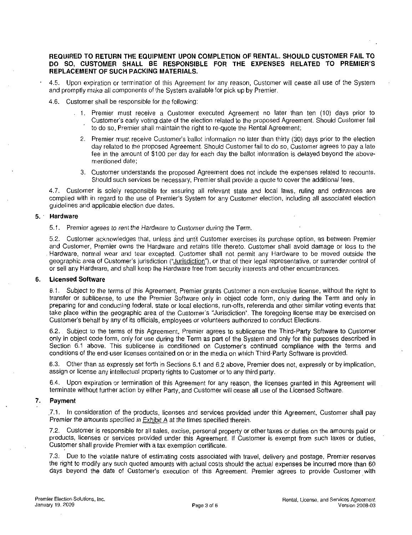# REQUIRED TO RETURN THE EQUIPMENT UPON COMPLETION OF RENTAL SHOULD CUSTOMER FAIL TO DO SO. CUSTOMER SHALL BE REPLACEMENT OF SUCH PACKING MATERIALS. ENT UPON COMPLETION OF RENTAL. SHOULD CUSTOMER FAIL TO<br>RESPONSIBLE FOR THE EXPENSES RELATED TO PREMIER'S<br>IATERIALS.

- 4.5. Upon expiration or termination of this Agreement for any reason. Customer will cease all use of the System and promptly make all components of the System available for pick up by Premier.<br>4.6. Customer shall be responsible for the following:
- 
- 1 Premier must receive <sup>a</sup> Customer executed Agreement no later than ten 10 days prior to Customer searly voting date of the election related to the proposed Agreement;<br>Customer searly voting date of the following:<br>Premier must receive a Customer executed Agreement no later than ten (10) days prior to<br>Customer' to do so, Premier shall maintain the right to re-quote the proposed Agreement. Should Customer fail<br>to do so, Premier shall maintain the right to re-quote the Rental Agreement;<br>2. Premier must receive Customer's ballot inf
	- 19 make all components of the System available for pick up by Premier.<br>
	2 Premier shall be responsible for the following:<br>
	2. Premier must receive a Customer executed Agreement no later than ten (10) days prior to<br>
	2 Custo day related to the proposed Agreement Should Customer fail to do so Customer agrees to pay <sup>a</sup> late fee in the amount of \$100 per day for each day the ballot information is delayed beyond the abovementioned date
	- 3. Customer understands the proposed Agreement does not include the expenses related to recounts. Should such services be necessary. Premier shall provide a quote to cover the additional fees.

Should such services be necessary, Premier shall provide a quote to cover the additional fees.<br>4.7. Customer is solely responsible for assuring all relevant state and local laws, ruling and ordinances are complied with in regard to the use of Premier's System for any Customer election, including all associated election guidelines and applicable election due dates. guidelines and applicable election due dates

# 5 Hardware

5.1. Premier agrees to rent the Hardware to Customer during the Term.

5.2. Customer acknowledges that, unless and until Customer exercises its purchase option, as between Premier and Customer, Premier owns the Hardware and retains title thereto. Customer shall avoid damage or loss to the Hardware, normal wear and tear excepted. Customer shall not permit any Hardware to be moved outside the geographic area of Customer's jurisdiction ("Jurisdiction"), or that of their legal representative, or surrender contr galacemes and applicable election due dates.<br>
5.1. Premier agrees to rent the Hardware to Customer during the Term.<br>
5.2. Customer acknowledges that, unless and until Customer exercises its purchase option, as between Prem or sell any Hardware, and shall keep the Hardware free from security interests and other encumbrances.

# 6. Licensed Software

6.1. Subject to the terms of this Agreement. Premier grants Customer a non-exclusive license, without the right to transfer or sublicense to use the Premier Software only in object code form only during the Term and only in preparing for and conducting federal, state or local elections, run-offs, referenda and other similar voting events that take place within the geographic area of the Customer's "Jurisdiction". The foregoing license may be geographic area of Customer's jurisdiction ("<u>Jurisdiction</u>"), or that of their legal representative, or surrender control of<br>or sell any Hardware, and shall keep the Hardware free from security interests and other encumbr or sell any Hardware, and shall keep the Hardware free from security interests and other encumbred **Licensed Software**<br>
6.1. Subject to the terms of this Agreement, Premier grants Customer a non-exclusive license,<br>
transfe 6.1. Subject to the terms of the Agreement. Premier agrees to sublicense the Third-Party Software to Customer<br>6.2. Subject to the terms of this Agreement. Premier agrees to sublicense the Third-Party Software to Customer Section 6.1 above. This sublicense is conditioned on Customer's continued compliance with the remainder or sublicense, to use the Premier Software only in object code form, only during the Term and only in preparing for an

only in object code form, only for use during the Term as part of the System and only for the purposes described in<br>Section 6.1 above. This sublicense is conditioned on Customer's continued compliance with the terms and conditions of the end-user licenses contained on or in the media on which Third-Party Software is provided.

6.3. Other than as expressly set forth in Sections 6.1 and 6.2 above. Premier does not, expressly or by implication. assign or license any intellectual property rights to Customer or to any third party.

64 Upon expiration or termination of this Agreement for any reason the licenses granted in this Agreement will terminate without further action by either Party, and Customer will cease all use of the Licensed Software.

### Payment 7.

7.1. In consideration of the products, licenses and services provided under this Agreement, Customer shall pay<br>Premier the amounts specified in Exhibit A at the times specified therein.

7.2. Customer is responsible for all sales, excise, personal property or other taxes or duties on the amounts paid or products, licenses or services provided under this Agreement. If Customer is exempt from such taxes or duties, Customer shall provide Premier with a tax exemption certificate Premier the amounts specified in **Exhibit A** at the times specified therein.<br>
7.2. Customer is responsible for all sales, excise, personal property or other taxes or duties on the amounts paid or<br>
products, licenses or se

7.3. Due to the volatile nature of estimating costs associated with travel, delivery and postage. Premier reserves the right to modify any such quoted amounts with actual costs should the actual expenses be incurred more than 60<br>days beyond the date of Customer's execution of this Agreement. Premier agrees to provide Customer with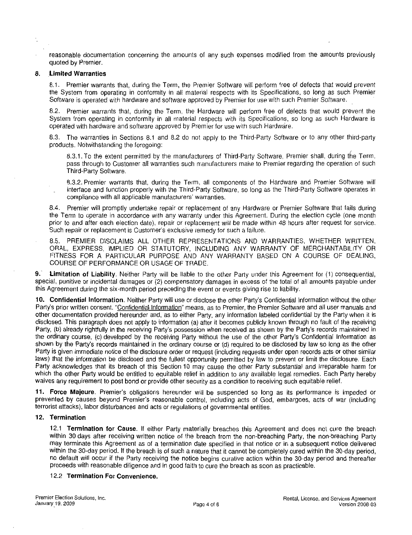reasonable documentation concerning the amounts of any such expenses modified from the amounts previously quoted by Premier

## 8. Limited Warranties

8.1. Premier warrants that, during the Term, the Premier Software will perform free of defects that would prevent the System from operating in conformity in all material respects with its Specifications so long as such Premier Software is operated with hardware and software approved by Premier for use with such Premier Software

8.2. Premier warrants that, during the Term, the Hardware will perform free of defects that would prevent the System from operating in conformity in all material respects with its Specifications so long as such Hardware is operated with hardware and software approved by Premier for use with such Hardware

Special with hardware and software approved by Premier for use with such Hardware.<br>8.3. The warranties in Sections 8.1 and 8.2 do not apply to the Third-Party Software or to any other third-party products Notwithstanding the foregoing The warranties in Sections 8.1 and 8.2 do not apply to the Third-Party Software or to any other third-party<br>sts. Notwithstanding the foregoing:<br>8.3.1. To the extent permitted by the manufacturers of Third-Party Software, P

pass through to Customer all warranties such manufacturers make to Premier regarding the operation of such<br>Third-Party Software.<br>8.3.2. Premier warrants that, during the Term, all components of the Hardware and Premier Sof Third-Party Software.

8.3.2. Premier warrants that, during the Term, all components of the Hardware and Premier Software will<br>interface and function properly with the Third-Party Software, so long as the Third-Party Software operates in compliance with all applicable manufacturers' warranties.

8.4. Premier will promptly undertake repair or replacement of any Hardware or Premier Software that fails during the Term to operate in accordance with any warranty under this Agreement. During the election cycle (one month prior to and after each election date), repair or replacement will be made within 48 hours after request for service. 8.3.2. Premier warrants that, during the Term, all components of the interface and function properly with the Third-Party Software, so long a compliance with all applicable manufacturers' warranties.<br>
8.4. Premier will pro Such repair or replacement is Customer's exclusive remedy for such a failure.<br>8.5. PREMIER DISCLAIMS ALL OTHER REPRESENTATIONS AND WARRANTIES. WHETHER WRITTEN.

ORAL, EXPRESS, IMPLIED OR STATUTORY, INCLUDING ANY WARRANTY OF MERCHANTABILITY OR FITNESS FOR A PARTICULAR PURPOSE AND ANY WARRANTY BASED ON A COURSE OF DEALING, COURSE OF PERFORMANCE OR USAGE OF TRADE

9. Limitation of Liability. Neither Party will be liable to the other Party under this Agreement for (1) consequential, special, punitive or incidental damages or (2) compensatory damages in excess of the total of all amounts payable under his Agreement during the six month period preceding the event or events giving rise to liability

special, punitive or incidental damages or (2) compensatory damages in excess of the total of all amounts payable under<br>this Agreement during the six-month period preceding the event or events giving rise to liability.<br>10. Party's prior written consent. "Confidential Information" means, as to Premier, the Premier Software and all user manuals and other documentation provided hereunder and, as to either Party, any information labeled confiden disclosed. This paragraph does not apply to information (a) after it becomes publicly known through no fault of the receiving Party's prior written consent. "Confidential Information" means, as to Premier, the Premier Software and all user manuals and<br>other documentation provided hereunder and, as to either Party, any information labeled confiden other documentation provided hereunder and, as to either Party, any information labeled confidential by the Party when it is<br>disclosed. This paragraph does not apply to information (a) after it becomes publicly known throu disclosed. This paragraph does not apply to information (a) after it becomes publicly known through no fault of the receiving Party, (b) already rightfully in the receiving Party's possession when received as shown by the Party is given immediate notice of the disclosure order or request (including requests under open records acts or other similar laws) that the information be disclosed and the fullest opportunity permitted by law to prevent or limit the disclosure. Each Party acknowledges that its breach of this Section <sup>10</sup> may cause the other Party substantial and irreparable harm for which the other Party would be entitled to equitable relief in addition to any available legal remedies. Each Party hereby waives any requirement to post bond or provide other security as a condition to receiving such equitable relief. Party is given immediate notice of the disclosure order or request (including requests under open records acts or other similar laws) that the information be disclosed and the fullest opportunity permitted by law to preven laws) that the information be disclosed and the fullest opportunity permitted by law to prevent or limit the disclosure. Each<br>Party acknowledges that its breach of this Section 10 may cause the other Party substantial and

prevented by causes beyond Premier's reasonable control, including acts of God, embargoes, acts of war (including<br>terrorist attacks), labor disturbances and acts or regulations of governmental entities.

# 12. Termination

12.1 Termination for Cause. If either Party materially breaches this Agreement and does not cure the breach within 30 days after receiving written notice of the breach from the non-breaching Party, the non-breaching Party may terminate this Agreement as of a termination date specified in that notice or in a subsequent notice delivered<br>within the 30-day period. If the breach is of such a nature that it cannot be completely cured within the 3 proceeds with reasonable diligence and in good faith to cure the breach as soon as practicable.<br>12.2 **Termination For Convenience.**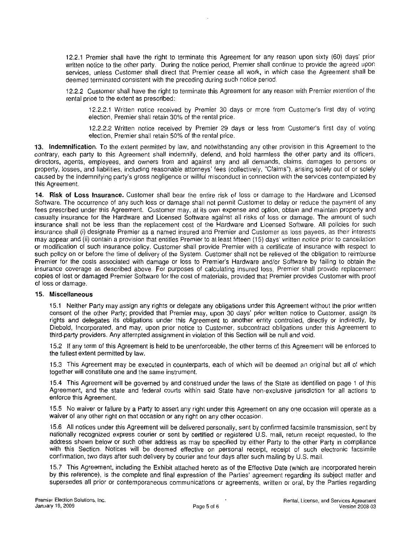12.2.1 Premier shall have the right to terminate this Agreement for any reason upon sixty (60) days' prior 12.2.1 Premier shall have the right to terminate this Agreement for any reason upon sixty (60) days prior written notice to the other party. During the notice period, Premier shall continue to provide the agreed upon servi services, unless Customer shall direct that Premier cease all work, in which case the Agreement shall be deemed terminated consistent with the preceding during such notice period

122Customer shall have the right to terminate this Agreement for any reason with Premier retention of the rental price to the extent as prescribed terminated consistent with the preceding during such notice period.<br>
Customer shall have the right to terminate this Agreement for any reason with Premier retention of the<br>
tice to the extent as prescribed:<br>
12.2.2.1 Writt

12.2.2.1 Written notice received by Premier 30 days or more from Customer's first day of voting election. Premier shall retain 30% of the rental price.

12.2.2.2 Written notice received by Premier 29 days or less from Customer's first day of voting election. Premier shall retain 50% of the rental price.

13. Indemnification. To the extent permitted by law, and notwithstanding any other provision in this Agreement to the contrary, each party to this Agreement shall indemnify, defend, and hold harmless the other party and its officers, directors, agents, employees, and owners from and against any and all demands, claims, damages to persons or property, losses, and liabilities, including reasonable attorneys' fees (collectively, "Claims"), arising solely out of or solely caused by the indemnifying party's gross negligence or willful misconduct in connection with contrary, each party to this Agreement shall indemnify, defend, and hold harmless the other party and its officers,<br>directors, agents, employees, and owners from and against any and all demands, claims, damages to persons

14. Risk of Loss Insurance. Customer shall bear the entire risk of loss or damage to the Hardware and Licensed Software. The occurrence of any such loss or damage shall not permit Customer to delay or reduce the payment of any fees prescribed under this Agreement. Customer may, at its own expense and option, obtain and maintain property and casualty insurance for the Hardware and Licensed Software against all risks of loss or damage The amount of such insurance shall not be less than the replacement cost of the Hardware and Licensed Software All policies for such rees prescribed under this Agreement. Customer may, at its own expense and option, obtain and maintain property and<br>casualty insurance for the Hardware and Licensed Software against all risks of loss or damage. The amount insurance shall (i) designate Premier as a named insured and Premier and Customer as loss payees, as their interests<br>may appear and (ii) contain a provision that entitles Premier to at least fifteen (15) days' written noti or modification of such insurance policy Customer shall provide Premier with a certificate of insurance with respect to such policy on or before the time of delivery of the System. Customer shall not be relieved of the obligation to reimburse<br>Premier for the costs associated with damage or loss to Premier's Hardware and/or Software by faili examing insurance for the riadiwate and Eleensed Software against an risks of loss of damage. The principal insurance shall not be less than the replacement cost of the Hardware and Licensed Software. All policies for such insurance coverage as described above. For purposes of calculating insured loss, Premier shall provide replacement copies of lost or damaged Premier Software for the cost of materials provided that Premier provides Customer with proof of loss or damage.

# 15. Miscellaneous

15 Neither Party may assign any rights or delegate any obligations under this Agreement without the prior written consent of the other Party; provided that Premier may, upon 30 days' prior written notice to Customer, assign its rights and delegates its obligations under this Agreement to another entity controlled, directly or indirectly, by Diebold, Incorporated, and may, upon prior notice to Customer, subcontract obligations under this Agreement to third-party providers. Any attempted assignment in violation of this Section will be null and void.

152 If any term of this Agreement is held to be unenforceable the other terms of this Agreement will be enforced to the fullest extent permitted by law

15.3 This Agreement may be executed in counterparts, each of which will be deemed an original but all of which together will constitute one and the same instrument

15.4 This Agreement will be governed by and construed under the laws of the State as identified on page 1 of this Agreement, and the state and federal courts within said State have non-exclusive jurisdiction for all actions to enforce this Agreement

155 No waiver or failure by <sup>a</sup> Party to assert any right under this Agreement on any one occasion will operate as <sup>a</sup> waiver of any other right on that occasion or any right on any other occasion.

15.6 All notices under this Agreement will be delivered personally, sent by confirmed facsimile transmission, sent by nationally recognized express courier or sent by certified or registered U.S. mail, return receipt requested, to the address shown below or such other address as may be specified by either Party to the other Party in compliance with this Section. Notices will be deemed effective on personal receipt, receipt of such electronic facsimile confirmation, two days after such delivery by courier and four days after such mailing by U.S. mail. confirmation, two days after such delivery by courier and four days after such mailing by U.S. mail.<br>15.7 This Agreement, including the Exhibit attached hereto as of the Effective Date (which are incorporated herein

by this reference), is the complete and final expression of the Parties' agreement regarding its subject matter and supersedes all prior or contemporaneous communications or agreements, written or oral, by the Parties regarding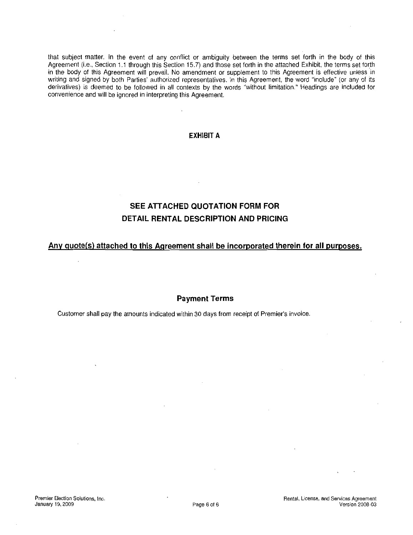that subject matter. In the event of any conflict or ambiguity between the terms set forth in the body of this that subject matter. In the event of any conflict or ambiguity between the terms set forth in the body of this<br>Agreement (i.e., Section 1.1 through this Section 15.7) and those set forth in the attached Exhibit, the terms Agreement (i.e., Section 1.1 through this Section 15.7) and those set forth in the attached Exhibit, the terms set forth in the body of this Agreement will prevail. No amendment or supplement to this Agreement is effective writing and signed by both Parties' authorized representatives. In this Agreement, the word "include" (or any of its derivatives) is deemed to be followed in all contexts by the words "without limitation." Headings are included for convenience and will be ignored in interpreting this Agreement

# EXHIBIT A

# SEE ATTACHED QUOTATION FORM FOR DETAIL RENTAL DESCRIPTION AND PRICING

# Any quote(s) attached to this Agreement shall be incorporated therein for all purposes.

# Payment Terms

Customer shall pay the amounts indicated within 30 days from receipt of Premier's invoice.